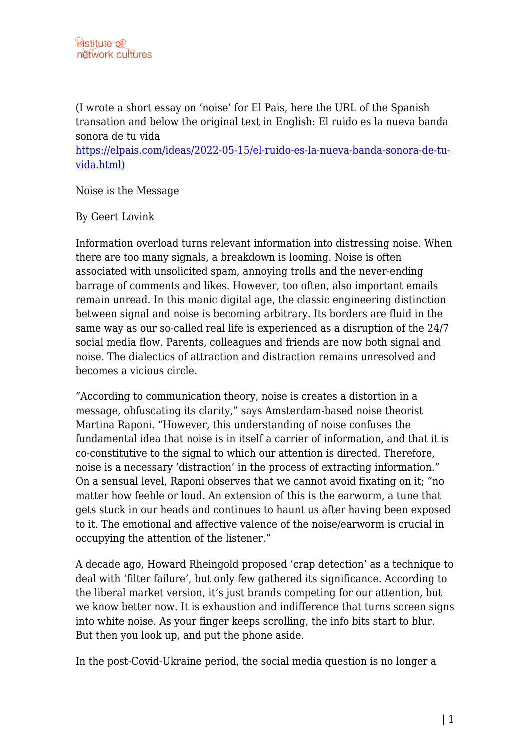(I wrote a short essay on 'noise' for El Pais, here the URL of the Spanish transation and below the original text in English: El ruido es la nueva banda sonora de tu vida

[https://elpais.com/ideas/2022-05-15/el-ruido-es-la-nueva-banda-sonora-de-tu](https://elpais.com/ideas/2022-05-15/el-ruido-es-la-nueva-banda-sonora-de-tu-vida.html)[vida.html\)](https://elpais.com/ideas/2022-05-15/el-ruido-es-la-nueva-banda-sonora-de-tu-vida.html)

Noise is the Message

## By Geert Lovink

Information overload turns relevant information into distressing noise. When there are too many signals, a breakdown is looming. Noise is often associated with unsolicited spam, annoying trolls and the never-ending barrage of comments and likes. However, too often, also important emails remain unread. In this manic digital age, the classic engineering distinction between signal and noise is becoming arbitrary. Its borders are fluid in the same way as our so-called real life is experienced as a disruption of the 24/7 social media flow. Parents, colleagues and friends are now both signal and noise. The dialectics of attraction and distraction remains unresolved and becomes a vicious circle.

"According to communication theory, noise is creates a distortion in a message, obfuscating its clarity," says Amsterdam-based noise theorist Martina Raponi. "However, this understanding of noise confuses the fundamental idea that noise is in itself a carrier of information, and that it is co-constitutive to the signal to which our attention is directed. Therefore, noise is a necessary 'distraction' in the process of extracting information." On a sensual level, Raponi observes that we cannot avoid fixating on it; "no matter how feeble or loud. An extension of this is the earworm, a tune that gets stuck in our heads and continues to haunt us after having been exposed to it. The emotional and affective valence of the noise/earworm is crucial in occupying the attention of the listener."

A decade ago, Howard Rheingold proposed 'crap detection' as a technique to deal with 'filter failure', but only few gathered its significance. According to the liberal market version, it's just brands competing for our attention, but we know better now. It is exhaustion and indifference that turns screen signs into white noise. As your finger keeps scrolling, the info bits start to blur. But then you look up, and put the phone aside.

In the post-Covid-Ukraine period, the social media question is no longer a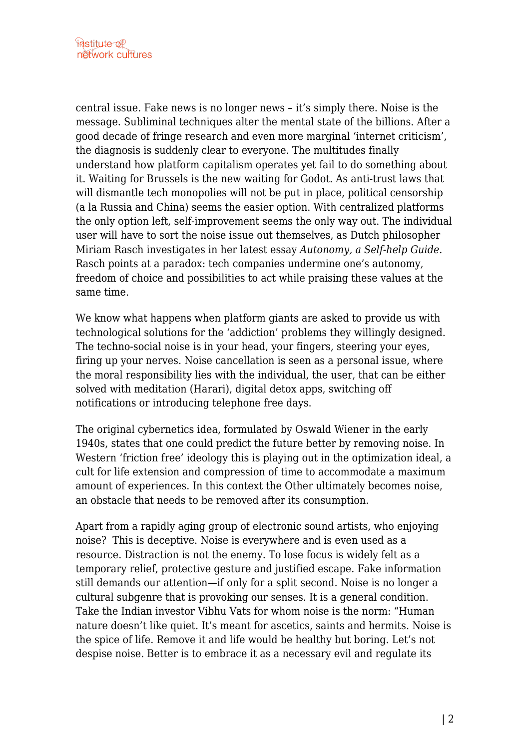central issue. Fake news is no longer news – it's simply there. Noise is the message. Subliminal techniques alter the mental state of the billions. After a good decade of fringe research and even more marginal 'internet criticism', the diagnosis is suddenly clear to everyone. The multitudes finally understand how platform capitalism operates yet fail to do something about it. Waiting for Brussels is the new waiting for Godot. As anti-trust laws that will dismantle tech monopolies will not be put in place, political censorship (a la Russia and China) seems the easier option. With centralized platforms the only option left, self-improvement seems the only way out. The individual user will have to sort the noise issue out themselves, as Dutch philosopher Miriam Rasch investigates in her latest essay *Autonomy, a Self-help Guide*. Rasch points at a paradox: tech companies undermine one's autonomy, freedom of choice and possibilities to act while praising these values at the same time.

We know what happens when platform giants are asked to provide us with technological solutions for the 'addiction' problems they willingly designed. The techno-social noise is in your head, your fingers, steering your eyes, firing up your nerves. Noise cancellation is seen as a personal issue, where the moral responsibility lies with the individual, the user, that can be either solved with meditation (Harari), digital detox apps, switching off notifications or introducing telephone free days.

The original cybernetics idea, formulated by Oswald Wiener in the early 1940s, states that one could predict the future better by removing noise. In Western 'friction free' ideology this is playing out in the optimization ideal, a cult for life extension and compression of time to accommodate a maximum amount of experiences. In this context the Other ultimately becomes noise, an obstacle that needs to be removed after its consumption.

Apart from a rapidly aging group of electronic sound artists, who enjoying noise? This is deceptive. Noise is everywhere and is even used as a resource. Distraction is not the enemy. To lose focus is widely felt as a temporary relief, protective gesture and justified escape. Fake information still demands our attention—if only for a split second. Noise is no longer a cultural subgenre that is provoking our senses. It is a general condition. Take the Indian investor Vibhu Vats for whom noise is the norm: "Human nature doesn't like quiet. It's meant for ascetics, saints and hermits. Noise is the spice of life. Remove it and life would be healthy but boring. Let's not despise noise. Better is to embrace it as a necessary evil and regulate its